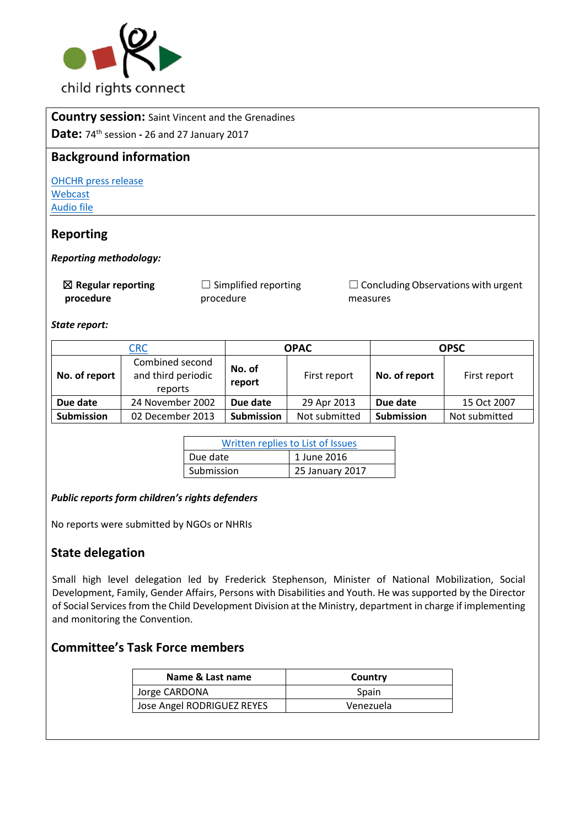

#### **Country session:** Saint Vincent and the Grenadines

**Date:** 74th session **-** 26 and 27 January 2017

### **Background information**

[OHCHR press release](http://bit.ly/2lgxfmi) [Webcast](http://bit.ly/2lvBzt1) [Audio file](http://bit.ly/2kPQLB6)

### **Reporting**

#### *Reporting methodology:*

☒ **Regular reporting procedure**

 $\Box$  Simplified reporting procedure

 $\Box$  Concluding Observations with urgent measures

*State report:* 

| <b>CRC</b>    |                                                  | <b>OPAC</b>      |               | <b>OPSC</b>       |               |
|---------------|--------------------------------------------------|------------------|---------------|-------------------|---------------|
| No. of report | Combined second<br>and third periodic<br>reports | No. of<br>report | First report  | No. of report     | First report  |
| Due date      | 24 November 2002                                 | Due date         | 29 Apr 2013   | Due date          | 15 Oct 2007   |
| Submission    | 02 December 2013                                 | Submission       | Not submitted | <b>Submission</b> | Not submitted |

| Written replies to List of Issues |                 |  |  |
|-----------------------------------|-----------------|--|--|
| Due date                          | 1 June 2016     |  |  |
| Submission                        | 25 January 2017 |  |  |

#### *Public reports form children's rights defenders*

No reports were submitted by NGOs or NHRIs

# **State delegation**

Small high level delegation led by Frederick Stephenson, Minister of National Mobilization, Social Development, Family, Gender Affairs, Persons with Disabilities and Youth. He was supported by the Director of Social Services from the Child Development Division at the Ministry, department in charge if implementing and monitoring the Convention.

# **Committee's Task Force members**

| Name & Last name           | Country   |
|----------------------------|-----------|
| Jorge CARDONA              | Spain     |
| Jose Angel RODRIGUEZ REYES | Venezuela |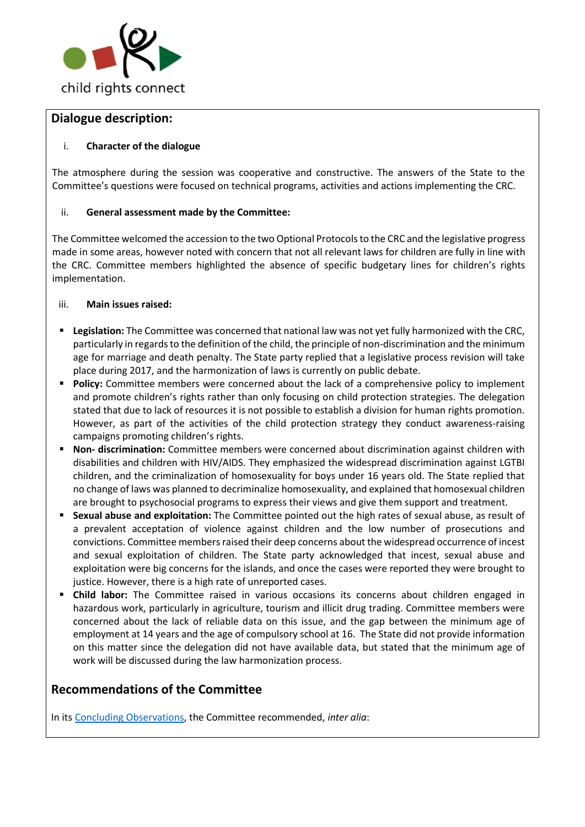

### **Dialogue description:**

#### i. **Character of the dialogue**

The atmosphere during the session was cooperative and constructive. The answers of the State to the Committee's questions were focused on technical programs, activities and actions implementing the CRC.

### ii. **General assessment made by the Committee:**

The Committee welcomed the accession to the two Optional Protocols to the CRC and the legislative progress made in some areas, however noted with concern that not all relevant laws for children are fully in line with the CRC. Committee members highlighted the absence of specific budgetary lines for children's rights implementation.

#### iii. **Main issues raised:**

- **Legislation:** The Committee was concerned that national law was not yet fully harmonized with the CRC, particularly in regards to the definition of the child, the principle of non-discrimination and the minimum age for marriage and death penalty. The State party replied that a legislative process revision will take place during 2017, and the harmonization of laws is currently on public debate.
- **Policy:** Committee members were concerned about the lack of a comprehensive policy to implement and promote children's rights rather than only focusing on child protection strategies. The delegation stated that due to lack of resources it is not possible to establish a division for human rights promotion. However, as part of the activities of the child protection strategy they conduct awareness-raising campaigns promoting children's rights.
- **Non- discrimination:** Committee members were concerned about discrimination against children with disabilities and children with HIV/AIDS. They emphasized the widespread discrimination against LGTBI children, and the criminalization of homosexuality for boys under 16 years old. The State replied that no change of laws was planned to decriminalize homosexuality, and explained that homosexual children are brought to psychosocial programs to express their views and give them support and treatment.
- **Sexual abuse and exploitation:** The Committee pointed out the high rates of sexual abuse, as result of a prevalent acceptation of violence against children and the low number of prosecutions and convictions. Committee members raised their deep concerns about the widespread occurrence of incest and sexual exploitation of children. The State party acknowledged that incest, sexual abuse and exploitation were big concerns for the islands, and once the cases were reported they were brought to justice. However, there is a high rate of unreported cases.
- **Child labor:** The Committee raised in various occasions its concerns about children engaged in hazardous work, particularly in agriculture, tourism and illicit drug trading. Committee members were concerned about the lack of reliable data on this issue, and the gap between the minimum age of employment at 14 years and the age of compulsory school at 16. The State did not provide information on this matter since the delegation did not have available data, but stated that the minimum age of work will be discussed during the law harmonization process.

# **Recommendations of the Committee**

In its [Concluding Observations,](http://bit.ly/2mcEP0D) the Committee recommended, *inter alia*: